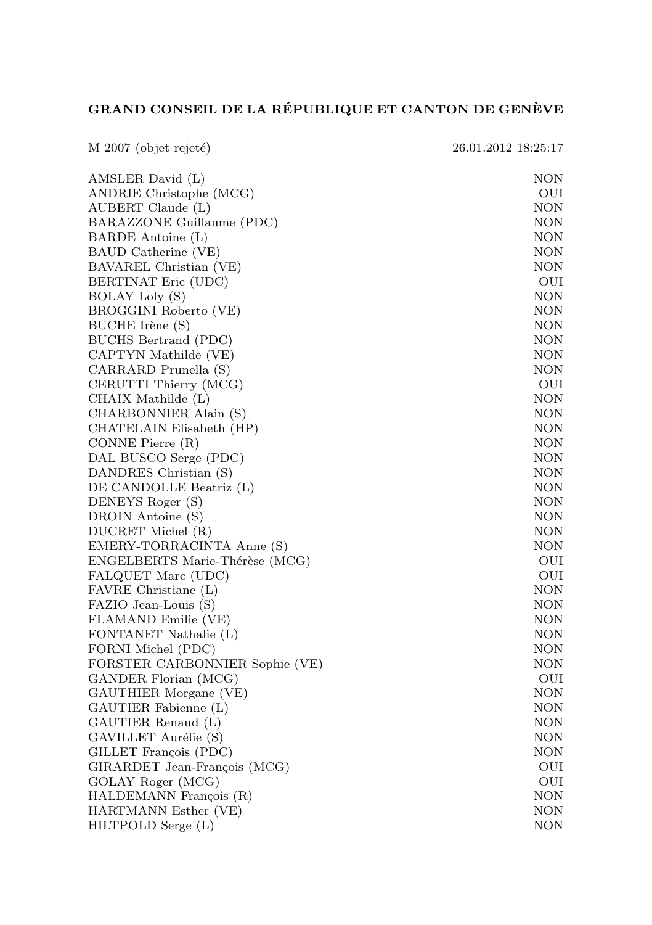## GRAND CONSEIL DE LA RÉPUBLIQUE ET CANTON DE GENÈVE

| M 2007 (objet rejeté)          | 26.01.2012 18:25:17 |
|--------------------------------|---------------------|
| AMSLER David (L)               | NON                 |
| ANDRIE Christophe (MCG)        | OUI                 |
| AUBERT Claude (L)              | NON                 |
| BARAZZONE Guillaume (PDC)      | NON                 |
| BARDE Antoine (L)              | NON                 |
| BAUD Catherine (VE)            | <b>NON</b>          |
| BAVAREL Christian (VE)         | <b>NON</b>          |
| BERTINAT Eric (UDC)            | OUI                 |
| <b>BOLAY Loly (S)</b>          | NON                 |
| BROGGINI Roberto (VE)          | NON                 |
| BUCHE Irène (S)                | NON                 |
| BUCHS Bertrand (PDC)           | <b>NON</b>          |
| CAPTYN Mathilde (VE)           | NON                 |
| CARRARD Prunella (S)           | <b>NON</b>          |
| CERUTTI Thierry (MCG)          | OUI                 |
| CHAIX Mathilde (L)             | NON                 |
| CHARBONNIER Alain (S)          | NON                 |
| CHATELAIN Elisabeth (HP)       | NON                 |
| CONNE Pierre (R)               | NON                 |
| DAL BUSCO Serge (PDC)          | <b>NON</b>          |
| DANDRES Christian (S)          | NON                 |
| DE CANDOLLE Beatriz (L)        | NON                 |
| DENEYS Roger (S)               | <b>NON</b>          |
| DROIN Antoine (S)              | <b>NON</b>          |
| DUCRET Michel (R)              | <b>NON</b>          |
| EMERY-TORRACINTA Anne (S)      | <b>NON</b>          |
| ENGELBERTS Marie-Thérèse (MCG) | OUI                 |
| FALQUET Marc (UDC)             | OUI                 |
| FAVRE Christiane (L)           | NON                 |
| FAZIO Jean-Louis (S)           | NON                 |
| FLAMAND Emilie (VE)            | NON                 |
| FONTANET Nathalie (L)          | <b>NON</b>          |
| FORNI Michel (PDC)             | NON                 |
| FORSTER CARBONNIER Sophie (VE) | NON                 |
| GANDER Florian (MCG)           | OUI                 |
| GAUTHIER Morgane (VE)          | NON                 |
| GAUTIER Fabienne (L)           | NON                 |
| GAUTIER Renaud (L)             | NON                 |
| GAVILLET Aurélie (S)           | <b>NON</b>          |
| GILLET François (PDC)          | NON                 |
| GIRARDET Jean-François (MCG)   | OUI                 |
| GOLAY Roger (MCG)              | OUI                 |
| HALDEMANN François (R)         | NON                 |
| HARTMANN Esther (VE)           | NON                 |
| HILTPOLD Serge (L)             | NON                 |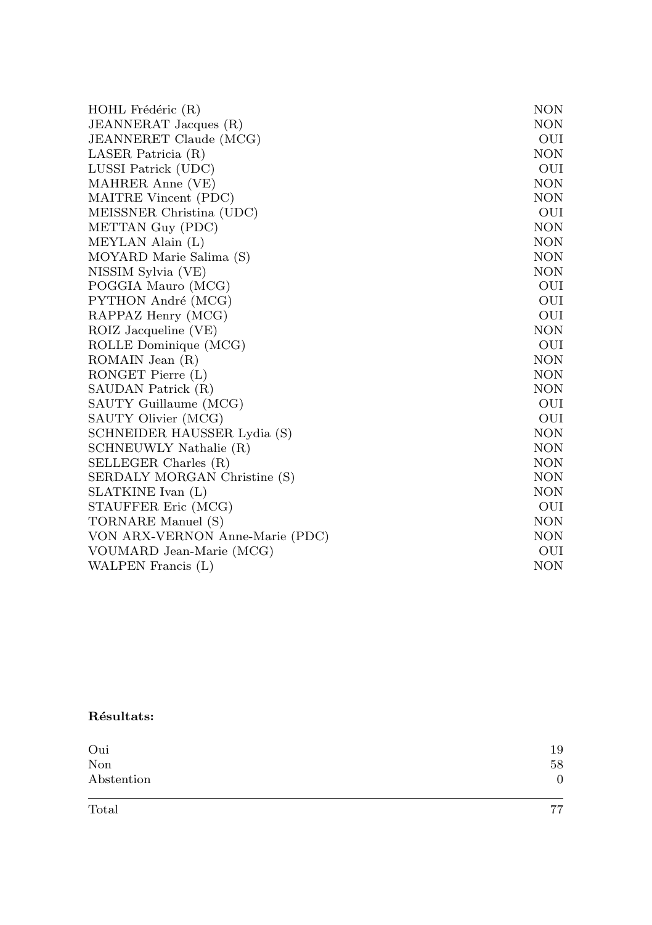| HOHL Frédéric (R)               | <b>NON</b> |
|---------------------------------|------------|
| JEANNERAT Jacques (R)           | <b>NON</b> |
| JEANNERET Claude (MCG)          | OUI        |
| LASER Patricia (R)              | <b>NON</b> |
| LUSSI Patrick (UDC)             | OUI        |
| MAHRER Anne (VE)                | <b>NON</b> |
| MAITRE Vincent (PDC)            | <b>NON</b> |
| MEISSNER Christina (UDC)        | OUI        |
| METTAN Guy (PDC)                | <b>NON</b> |
| MEYLAN Alain (L)                | <b>NON</b> |
| MOYARD Marie Salima (S)         | <b>NON</b> |
| NISSIM Sylvia (VE)              | <b>NON</b> |
| POGGIA Mauro (MCG)              | OUI        |
| PYTHON André (MCG)              | OUI        |
| RAPPAZ Henry (MCG)              | OUI        |
| ROIZ Jacqueline (VE)            | <b>NON</b> |
| ROLLE Dominique (MCG)           | OUI        |
| ROMAIN Jean (R)                 | <b>NON</b> |
| RONGET Pierre (L)               | <b>NON</b> |
| SAUDAN Patrick (R)              | <b>NON</b> |
| SAUTY Guillaume (MCG)           | OUI        |
| SAUTY Olivier (MCG)             | OUI        |
| SCHNEIDER HAUSSER Lydia (S)     | <b>NON</b> |
| SCHNEUWLY Nathalie (R)          | <b>NON</b> |
| SELLEGER Charles (R)            | <b>NON</b> |
| SERDALY MORGAN Christine (S)    | <b>NON</b> |
| SLATKINE Ivan (L)               | <b>NON</b> |
| STAUFFER Eric (MCG)             | OUI        |
| TORNARE Manuel (S)              | <b>NON</b> |
| VON ARX-VERNON Anne-Marie (PDC) | <b>NON</b> |
| VOUMARD Jean-Marie (MCG)        | OUI        |
| WALPEN Francis (L)              | <b>NON</b> |

## Résultats:

| Oui        | 19 |
|------------|----|
| Non        | 58 |
| Abstention | 0  |